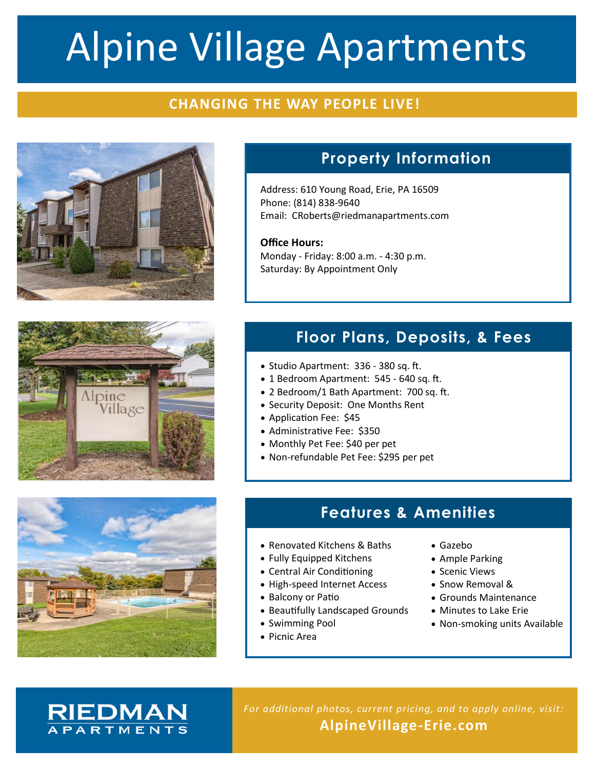# Alpine Village Apartments

## **CHANGING THE WAY PEOPLE LIVE!**



# **Property Information**

Address: 610 Young Road, Erie, PA 16509 Phone: (814) 838-9640 Email: CRoberts@riedmanapartments.com

**Office Hours:** Monday - Friday: 8:00 a.m. - 4:30 p.m. Saturday: By Appointment Only



# **Floor Plans, Deposits, & Fees**

- Studio Apartment: 336 380 sq. ft.
- 1 Bedroom Apartment: 545 640 sq. ft.
- 2 Bedroom/1 Bath Apartment: 700 sq. ft.
- Security Deposit: One Months Rent
- Application Fee: \$45
- Administrative Fee: \$350
- Monthly Pet Fee: \$40 per pet
- Non-refundable Pet Fee: \$295 per pet

### **Features & Amenities**

- Renovated Kitchens & Baths
- Fully Equipped Kitchens
- Central Air Conditioning
- High-speed Internet Access
- Balcony or Patio
- Beautifully Landscaped Grounds
- Swimming Pool
- Picnic Area
- Gazebo
- Ample Parking
- Scenic Views
- Snow Removal &
- Grounds Maintenance
- Minutes to Lake Erie
- Non-smoking units Available

## **RIEDMAN APARTMENTS**

*For additional photos, current pricing, and to apply online, visit:* **AlpineVillage-Erie.com**

**PHOTO**